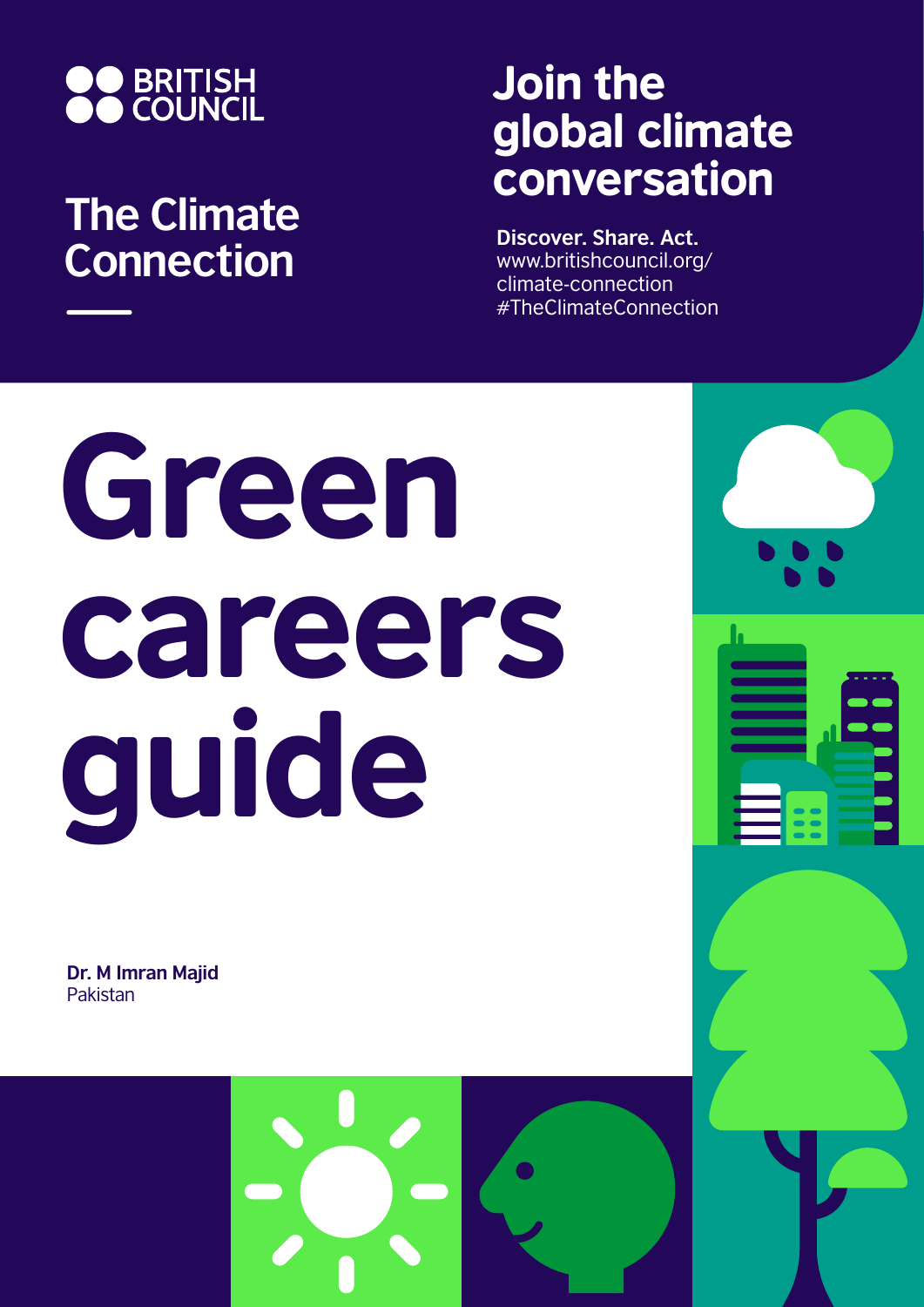

# **The Climate Connection**

# Join the global climate conversation

**Discover. Share. Act.** www.britishcouncil.org/ climate-connection #TheClimateConnection

# Green careers guide

**Dr. M Imran Majid** Pakistan

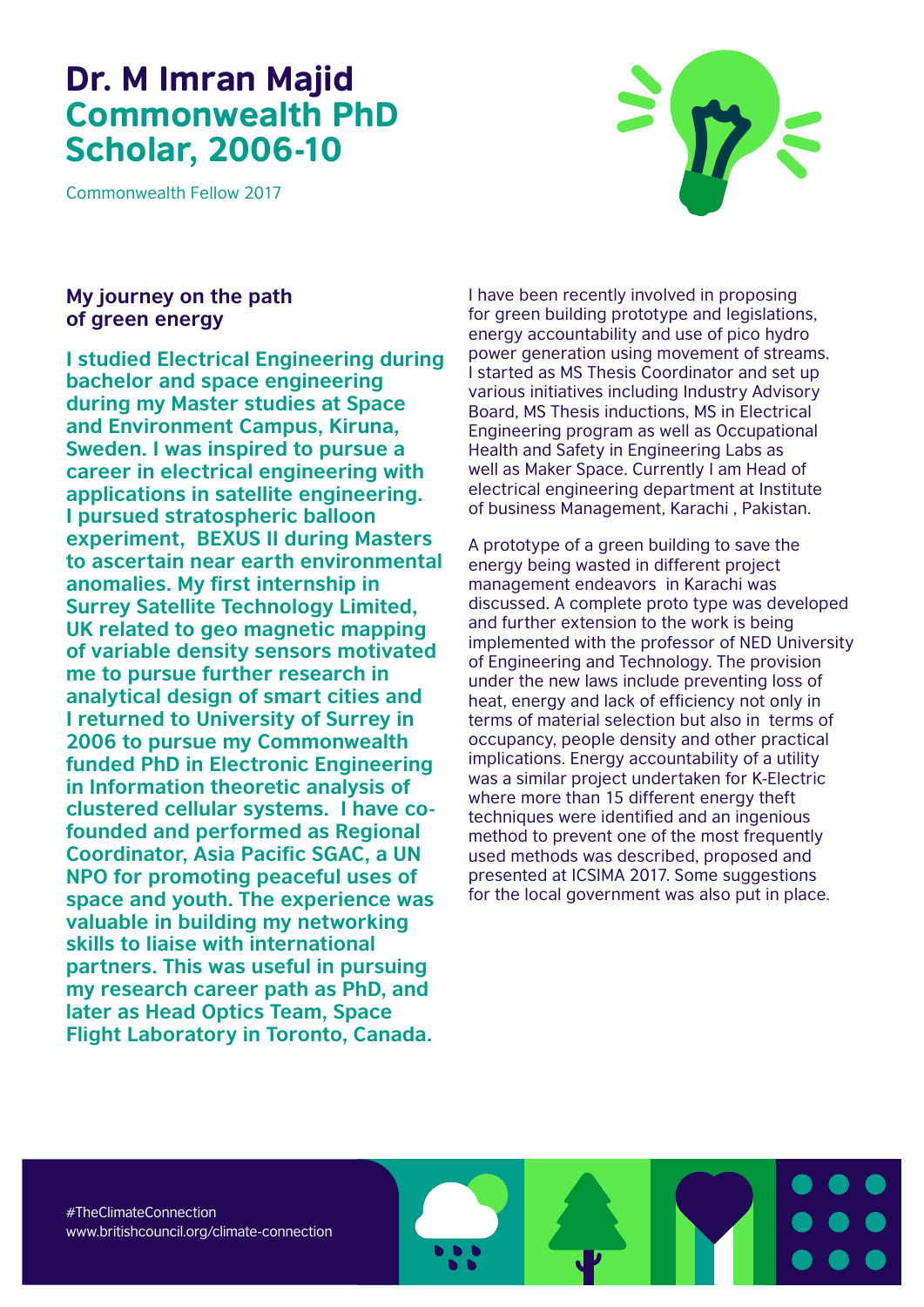## Dr. M Imran Majid Commonwealth PhD Scholar, 2006-10

Commonwealth Fellow 2017



### **My journey on the path of green energy**

**I studied Electrical Engineering during bachelor and space engineering during my Master studies at Space and Environment Campus, Kiruna, Sweden. I was inspired to pursue a career in electrical engineering with applications in satellite engineering. I pursued stratospheric balloon experiment, BEXUS II during Masters to ascertain near earth environmental anomalies. My first internship in Surrey Satellite Technology Limited, UK related to geo magnetic mapping of variable density sensors motivated me to pursue further research in analytical design of smart cities and I returned to University of Surrey in 2006 to pursue my Commonwealth funded PhD in Electronic Engineering in Information theoretic analysis of clustered cellular systems. I have cofounded and performed as Regional Coordinator, Asia Pacific SGAC, a UN NPO for promoting peaceful uses of space and youth. The experience was valuable in building my networking skills to liaise with international partners. This was useful in pursuing my research career path as PhD, and later as Head Optics Team, Space Flight Laboratory in Toronto, Canada.**

I have been recently involved in proposing for green building prototype and legislations, energy accountability and use of pico hydro power generation using movement of streams. I started as MS Thesis Coordinator and set up various initiatives including Industry Advisory Board, MS Thesis inductions, MS in Electrical Engineering program as well as Occupational Health and Safety in Engineering Labs as well as Maker Space. Currently I am Head of electrical engineering department at Institute of business Management, Karachi , Pakistan.

A prototype of a green building to save the energy being wasted in different project management endeavors in Karachi was discussed. A complete proto type was developed and further extension to the work is being implemented with the professor of NED University of Engineering and Technology. The provision under the new laws include preventing loss of heat, energy and lack of efficiency not only in terms of material selection but also in terms of occupancy, people density and other practical implications. Energy accountability of a utility was a similar project undertaken for K-Electric where more than 15 different energy theft techniques were identified and an ingenious method to prevent one of the most frequently used methods was described, proposed and presented at ICSIMA 2017. Some suggestions for the local government was also put in place.

#TheClimateConnection www.britishcouncil.org/climate-connection